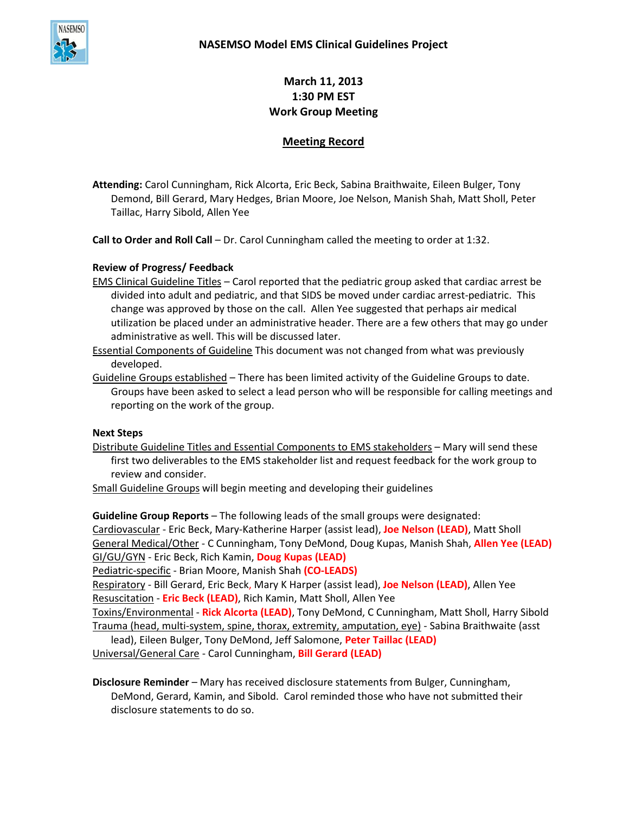

**March 11, 2013 1:30 PM EST Work Group Meeting**

## **Meeting Record**

**Attending:** Carol Cunningham, Rick Alcorta, Eric Beck, Sabina Braithwaite, Eileen Bulger, Tony Demond, Bill Gerard, Mary Hedges, Brian Moore, Joe Nelson, Manish Shah, Matt Sholl, Peter Taillac, Harry Sibold, Allen Yee

**Call to Order and Roll Call** – Dr. Carol Cunningham called the meeting to order at 1:32.

## **Review of Progress/ Feedback**

EMS Clinical Guideline Titles – Carol reported that the pediatric group asked that cardiac arrest be divided into adult and pediatric, and that SIDS be moved under cardiac arrest-pediatric. This change was approved by those on the call. Allen Yee suggested that perhaps air medical utilization be placed under an administrative header. There are a few others that may go under administrative as well. This will be discussed later.

Essential Components of Guideline This document was not changed from what was previously developed.

Guideline Groups established - There has been limited activity of the Guideline Groups to date. Groups have been asked to select a lead person who will be responsible for calling meetings and reporting on the work of the group.

## **Next Steps**

Distribute Guideline Titles and Essential Components to EMS stakeholders – Mary will send these first two deliverables to the EMS stakeholder list and request feedback for the work group to review and consider.

Small Guideline Groups will begin meeting and developing their guidelines

**Guideline Group Reports** – The following leads of the small groups were designated:

Cardiovascular - Eric Beck, Mary-Katherine Harper (assist lead), **Joe Nelson (LEAD)**, Matt Sholl General Medical/Other - C Cunningham, Tony DeMond, Doug Kupas, Manish Shah, **Allen Yee (LEAD)** GI/GU/GYN - Eric Beck, Rich Kamin, **Doug Kupas (LEAD)**

Pediatric-specific - Brian Moore, Manish Shah **(CO-LEADS)**

Respiratory - Bill Gerard, Eric Beck, Mary K Harper (assist lead), **Joe Nelson (LEAD)**, Allen Yee Resuscitation - **Eric Beck (LEAD)**, Rich Kamin, Matt Sholl, Allen Yee

Toxins/Environmental - **Rick Alcorta (LEAD)**, Tony DeMond, C Cunningham, Matt Sholl, Harry Sibold Trauma (head, multi-system, spine, thorax, extremity, amputation, eye) - Sabina Braithwaite (asst

lead), Eileen Bulger, Tony DeMond, Jeff Salomone, **Peter Taillac (LEAD)** Universal/General Care - Carol Cunningham, **Bill Gerard (LEAD)**

**Disclosure Reminder** – Mary has received disclosure statements from Bulger, Cunningham, DeMond, Gerard, Kamin, and Sibold. Carol reminded those who have not submitted their disclosure statements to do so.